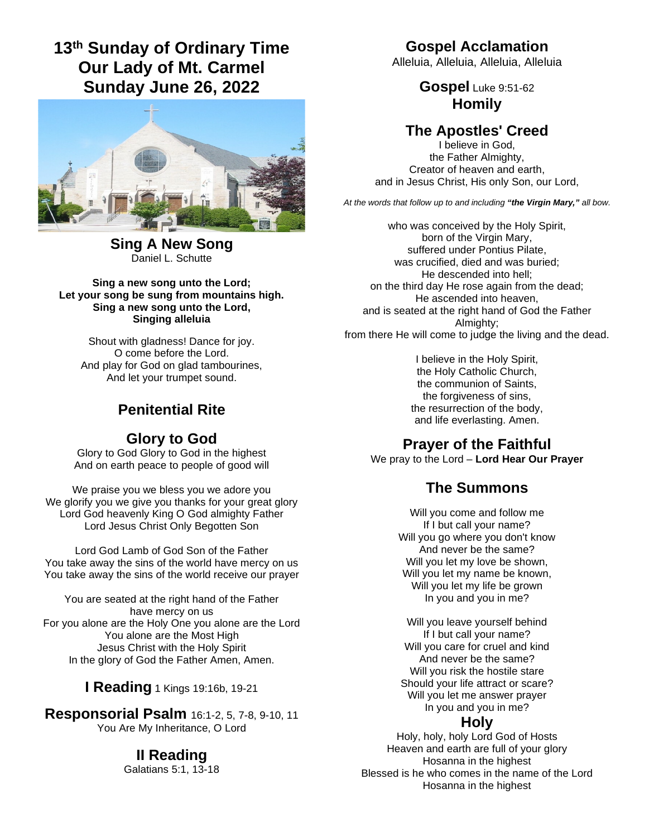**13th Sunday of Ordinary Time Our Lady of Mt. Carmel Sunday June 26, 2022** 



**Sing A New Song** Daniel L. Schutte

**Sing a new song unto the Lord; Let your song be sung from mountains high. Sing a new song unto the Lord, Singing alleluia**

Shout with gladness! Dance for joy. O come before the Lord. And play for God on glad tambourines. And let your trumpet sound.

## **Penitential Rite**

### **Glory to God**

Glory to God Glory to God in the highest And on earth peace to people of good will

We praise you we bless you we adore you We glorify you we give you thanks for your great glory Lord God heavenly King O God almighty Father Lord Jesus Christ Only Begotten Son

Lord God Lamb of God Son of the Father You take away the sins of the world have mercy on us You take away the sins of the world receive our prayer

You are seated at the right hand of the Father have mercy on us For you alone are the Holy One you alone are the Lord You alone are the Most High Jesus Christ with the Holy Spirit In the glory of God the Father Amen, Amen.

### **I Reading** 1 Kings 19:16b, 19-21

**Responsorial Psalm** 16:1-2, 5, 7-8, 9-10, 11 You Are My Inheritance, O Lord

# **II Reading**

Galatians 5:1, 13-18

## **Gospel Acclamation**

Alleluia, Alleluia, Alleluia, Alleluia

### **Gospel** Luke 9:51-62 **Homily**

# **The Apostles' Creed**

I believe in God. the Father Almighty, Creator of heaven and earth, and in Jesus Christ, His only Son, our Lord,

*At the words that follow up to and including "the Virgin Mary," all bow.* 

who was conceived by the Holy Spirit, born of the Virgin Mary, suffered under Pontius Pilate, was crucified, died and was buried; He descended into hell; on the third day He rose again from the dead; He ascended into heaven, and is seated at the right hand of God the Father Almighty: from there He will come to judge the living and the dead.

> I believe in the Holy Spirit, the Holy Catholic Church, the communion of Saints, the forgiveness of sins, the resurrection of the body, and life everlasting. Amen.

### **Prayer of the Faithful**

We pray to the Lord – **Lord Hear Our Prayer** 

## **The Summons**

Will you come and follow me If I but call your name? Will you go where you don't know And never be the same? Will you let my love be shown, Will you let my name be known, Will you let my life be grown In you and you in me?

Will you leave yourself behind If I but call your name? Will you care for cruel and kind And never be the same? Will you risk the hostile stare Should your life attract or scare? Will you let me answer prayer In you and you in me?

### **Holy**

Holy, holy, holy Lord God of Hosts Heaven and earth are full of your glory Hosanna in the highest Blessed is he who comes in the name of the Lord Hosanna in the highest